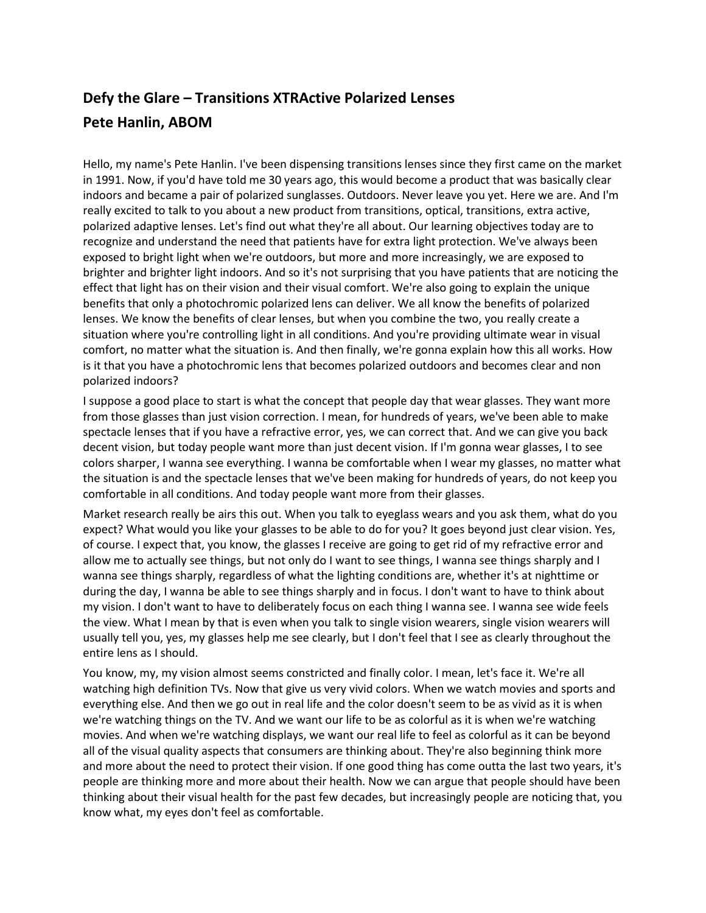## **Defy the Glare – Transitions XTRActive Polarized Lenses Pete Hanlin, ABOM**

Hello, my name's Pete Hanlin. I've been dispensing transitions lenses since they first came on the market in 1991. Now, if you'd have told me 30 years ago, this would become a product that was basically clear indoors and became a pair of polarized sunglasses. Outdoors. Never leave you yet. Here we are. And I'm really excited to talk to you about a new product from transitions, optical, transitions, extra active, polarized adaptive lenses. Let's find out what they're all about. Our learning objectives today are to recognize and understand the need that patients have for extra light protection. We've always been exposed to bright light when we're outdoors, but more and more increasingly, we are exposed to brighter and brighter light indoors. And so it's not surprising that you have patients that are noticing the effect that light has on their vision and their visual comfort. We're also going to explain the unique benefits that only a photochromic polarized lens can deliver. We all know the benefits of polarized lenses. We know the benefits of clear lenses, but when you combine the two, you really create a situation where you're controlling light in all conditions. And you're providing ultimate wear in visual comfort, no matter what the situation is. And then finally, we're gonna explain how this all works. How is it that you have a photochromic lens that becomes polarized outdoors and becomes clear and non polarized indoors?

I suppose a good place to start is what the concept that people day that wear glasses. They want more from those glasses than just vision correction. I mean, for hundreds of years, we've been able to make spectacle lenses that if you have a refractive error, yes, we can correct that. And we can give you back decent vision, but today people want more than just decent vision. If I'm gonna wear glasses, I to see colors sharper, I wanna see everything. I wanna be comfortable when I wear my glasses, no matter what the situation is and the spectacle lenses that we've been making for hundreds of years, do not keep you comfortable in all conditions. And today people want more from their glasses.

Market research really be airs this out. When you talk to eyeglass wears and you ask them, what do you expect? What would you like your glasses to be able to do for you? It goes beyond just clear vision. Yes, of course. I expect that, you know, the glasses I receive are going to get rid of my refractive error and allow me to actually see things, but not only do I want to see things, I wanna see things sharply and I wanna see things sharply, regardless of what the lighting conditions are, whether it's at nighttime or during the day, I wanna be able to see things sharply and in focus. I don't want to have to think about my vision. I don't want to have to deliberately focus on each thing I wanna see. I wanna see wide feels the view. What I mean by that is even when you talk to single vision wearers, single vision wearers will usually tell you, yes, my glasses help me see clearly, but I don't feel that I see as clearly throughout the entire lens as I should.

You know, my, my vision almost seems constricted and finally color. I mean, let's face it. We're all watching high definition TVs. Now that give us very vivid colors. When we watch movies and sports and everything else. And then we go out in real life and the color doesn't seem to be as vivid as it is when we're watching things on the TV. And we want our life to be as colorful as it is when we're watching movies. And when we're watching displays, we want our real life to feel as colorful as it can be beyond all of the visual quality aspects that consumers are thinking about. They're also beginning think more and more about the need to protect their vision. If one good thing has come outta the last two years, it's people are thinking more and more about their health. Now we can argue that people should have been thinking about their visual health for the past few decades, but increasingly people are noticing that, you know what, my eyes don't feel as comfortable.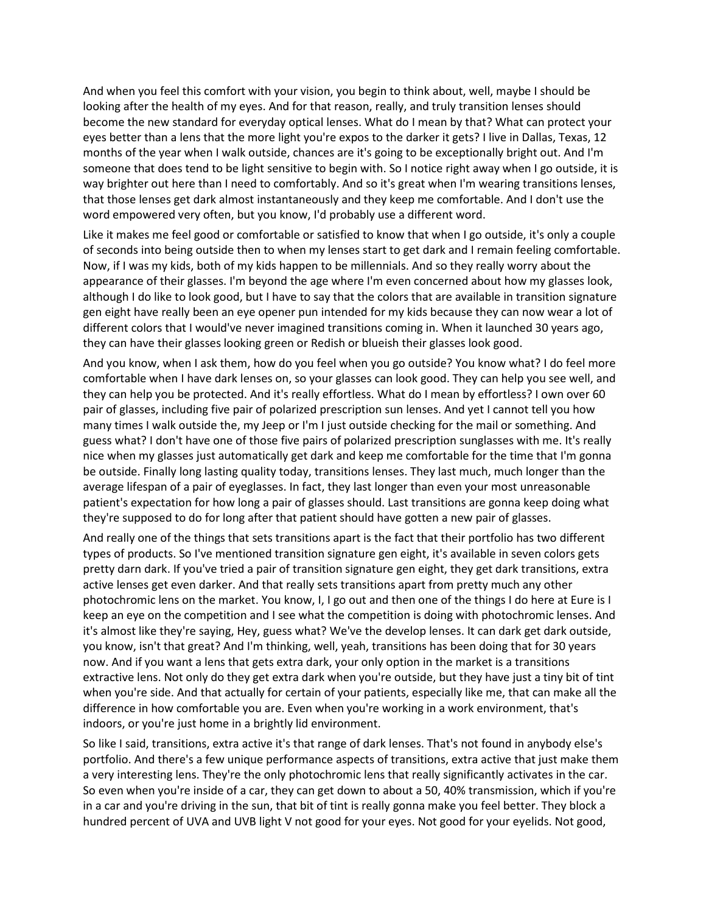And when you feel this comfort with your vision, you begin to think about, well, maybe I should be looking after the health of my eyes. And for that reason, really, and truly transition lenses should become the new standard for everyday optical lenses. What do I mean by that? What can protect your eyes better than a lens that the more light you're expos to the darker it gets? I live in Dallas, Texas, 12 months of the year when I walk outside, chances are it's going to be exceptionally bright out. And I'm someone that does tend to be light sensitive to begin with. So I notice right away when I go outside, it is way brighter out here than I need to comfortably. And so it's great when I'm wearing transitions lenses, that those lenses get dark almost instantaneously and they keep me comfortable. And I don't use the word empowered very often, but you know, I'd probably use a different word.

Like it makes me feel good or comfortable or satisfied to know that when I go outside, it's only a couple of seconds into being outside then to when my lenses start to get dark and I remain feeling comfortable. Now, if I was my kids, both of my kids happen to be millennials. And so they really worry about the appearance of their glasses. I'm beyond the age where I'm even concerned about how my glasses look, although I do like to look good, but I have to say that the colors that are available in transition signature gen eight have really been an eye opener pun intended for my kids because they can now wear a lot of different colors that I would've never imagined transitions coming in. When it launched 30 years ago, they can have their glasses looking green or Redish or blueish their glasses look good.

And you know, when I ask them, how do you feel when you go outside? You know what? I do feel more comfortable when I have dark lenses on, so your glasses can look good. They can help you see well, and they can help you be protected. And it's really effortless. What do I mean by effortless? I own over 60 pair of glasses, including five pair of polarized prescription sun lenses. And yet I cannot tell you how many times I walk outside the, my Jeep or I'm I just outside checking for the mail or something. And guess what? I don't have one of those five pairs of polarized prescription sunglasses with me. It's really nice when my glasses just automatically get dark and keep me comfortable for the time that I'm gonna be outside. Finally long lasting quality today, transitions lenses. They last much, much longer than the average lifespan of a pair of eyeglasses. In fact, they last longer than even your most unreasonable patient's expectation for how long a pair of glasses should. Last transitions are gonna keep doing what they're supposed to do for long after that patient should have gotten a new pair of glasses.

And really one of the things that sets transitions apart is the fact that their portfolio has two different types of products. So I've mentioned transition signature gen eight, it's available in seven colors gets pretty darn dark. If you've tried a pair of transition signature gen eight, they get dark transitions, extra active lenses get even darker. And that really sets transitions apart from pretty much any other photochromic lens on the market. You know, I, I go out and then one of the things I do here at Eure is I keep an eye on the competition and I see what the competition is doing with photochromic lenses. And it's almost like they're saying, Hey, guess what? We've the develop lenses. It can dark get dark outside, you know, isn't that great? And I'm thinking, well, yeah, transitions has been doing that for 30 years now. And if you want a lens that gets extra dark, your only option in the market is a transitions extractive lens. Not only do they get extra dark when you're outside, but they have just a tiny bit of tint when you're side. And that actually for certain of your patients, especially like me, that can make all the difference in how comfortable you are. Even when you're working in a work environment, that's indoors, or you're just home in a brightly lid environment.

So like I said, transitions, extra active it's that range of dark lenses. That's not found in anybody else's portfolio. And there's a few unique performance aspects of transitions, extra active that just make them a very interesting lens. They're the only photochromic lens that really significantly activates in the car. So even when you're inside of a car, they can get down to about a 50, 40% transmission, which if you're in a car and you're driving in the sun, that bit of tint is really gonna make you feel better. They block a hundred percent of UVA and UVB light V not good for your eyes. Not good for your eyelids. Not good,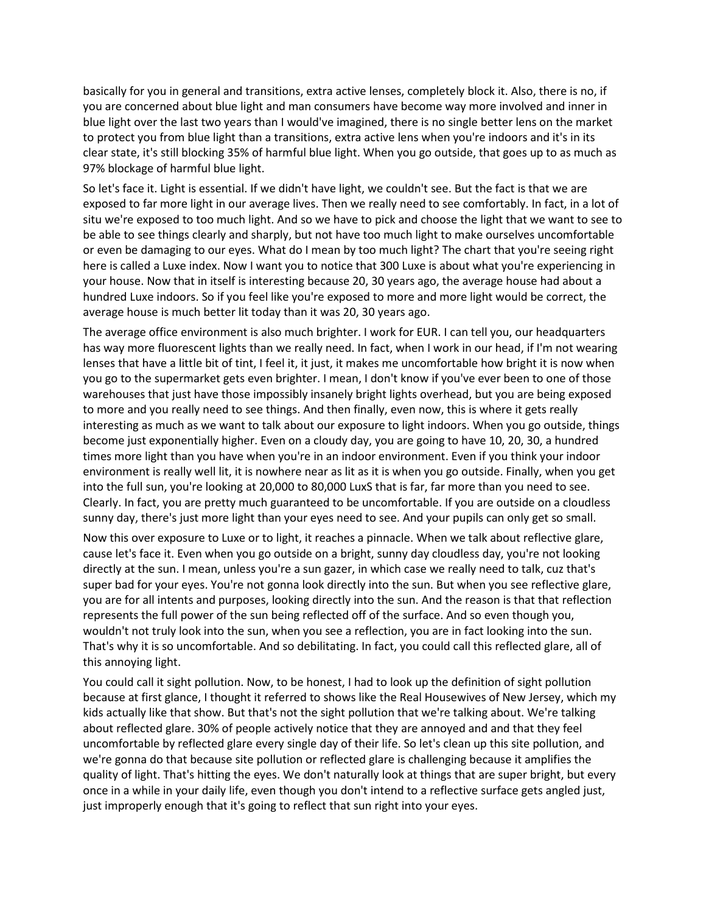basically for you in general and transitions, extra active lenses, completely block it. Also, there is no, if you are concerned about blue light and man consumers have become way more involved and inner in blue light over the last two years than I would've imagined, there is no single better lens on the market to protect you from blue light than a transitions, extra active lens when you're indoors and it's in its clear state, it's still blocking 35% of harmful blue light. When you go outside, that goes up to as much as 97% blockage of harmful blue light.

So let's face it. Light is essential. If we didn't have light, we couldn't see. But the fact is that we are exposed to far more light in our average lives. Then we really need to see comfortably. In fact, in a lot of situ we're exposed to too much light. And so we have to pick and choose the light that we want to see to be able to see things clearly and sharply, but not have too much light to make ourselves uncomfortable or even be damaging to our eyes. What do I mean by too much light? The chart that you're seeing right here is called a Luxe index. Now I want you to notice that 300 Luxe is about what you're experiencing in your house. Now that in itself is interesting because 20, 30 years ago, the average house had about a hundred Luxe indoors. So if you feel like you're exposed to more and more light would be correct, the average house is much better lit today than it was 20, 30 years ago.

The average office environment is also much brighter. I work for EUR. I can tell you, our headquarters has way more fluorescent lights than we really need. In fact, when I work in our head, if I'm not wearing lenses that have a little bit of tint, I feel it, it just, it makes me uncomfortable how bright it is now when you go to the supermarket gets even brighter. I mean, I don't know if you've ever been to one of those warehouses that just have those impossibly insanely bright lights overhead, but you are being exposed to more and you really need to see things. And then finally, even now, this is where it gets really interesting as much as we want to talk about our exposure to light indoors. When you go outside, things become just exponentially higher. Even on a cloudy day, you are going to have 10, 20, 30, a hundred times more light than you have when you're in an indoor environment. Even if you think your indoor environment is really well lit, it is nowhere near as lit as it is when you go outside. Finally, when you get into the full sun, you're looking at 20,000 to 80,000 LuxS that is far, far more than you need to see. Clearly. In fact, you are pretty much guaranteed to be uncomfortable. If you are outside on a cloudless sunny day, there's just more light than your eyes need to see. And your pupils can only get so small.

Now this over exposure to Luxe or to light, it reaches a pinnacle. When we talk about reflective glare, cause let's face it. Even when you go outside on a bright, sunny day cloudless day, you're not looking directly at the sun. I mean, unless you're a sun gazer, in which case we really need to talk, cuz that's super bad for your eyes. You're not gonna look directly into the sun. But when you see reflective glare, you are for all intents and purposes, looking directly into the sun. And the reason is that that reflection represents the full power of the sun being reflected off of the surface. And so even though you, wouldn't not truly look into the sun, when you see a reflection, you are in fact looking into the sun. That's why it is so uncomfortable. And so debilitating. In fact, you could call this reflected glare, all of this annoying light.

You could call it sight pollution. Now, to be honest, I had to look up the definition of sight pollution because at first glance, I thought it referred to shows like the Real Housewives of New Jersey, which my kids actually like that show. But that's not the sight pollution that we're talking about. We're talking about reflected glare. 30% of people actively notice that they are annoyed and and that they feel uncomfortable by reflected glare every single day of their life. So let's clean up this site pollution, and we're gonna do that because site pollution or reflected glare is challenging because it amplifies the quality of light. That's hitting the eyes. We don't naturally look at things that are super bright, but every once in a while in your daily life, even though you don't intend to a reflective surface gets angled just, just improperly enough that it's going to reflect that sun right into your eyes.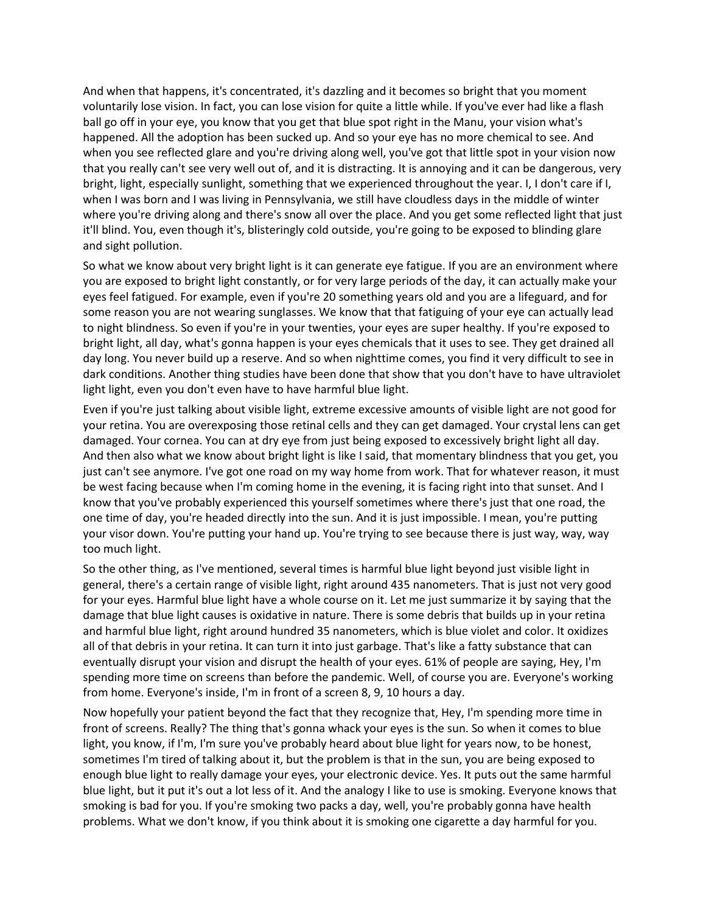And when that happens, it's concentrated, it's dazzling and it becomes so bright that you moment voluntarily lose vision. In fact, you can lose vision for quite a little while. If you've ever had like a flash ball go off in your eye, you know that you get that blue spot right in the Manu, your vision what's happened. All the adoption has been sucked up. And so your eye has no more chemical to see. And when you see reflected glare and you're driving along well, you've got that little spot in your vision now that you really can't see very well out of, and it is distracting. It is annoying and it can be dangerous, very bright, light, especially sunlight, something that we experienced throughout the year. I, I don't care if I, when I was born and I was living in Pennsylvania, we still have cloudless days in the middle of winter where you're driving along and there's snow all over the place. And you get some reflected light that just it'll blind. You, even though it's, blisteringly cold outside, you're going to be exposed to blinding glare and sight pollution.

So what we know about very bright light is it can generate eye fatigue. If you are an environment where you are exposed to bright light constantly, or for very large periods of the day, it can actually make your eyes feel fatigued. For example, even if you're 20 something years old and you are a lifeguard, and for some reason you are not wearing sunglasses. We know that that fatiguing of your eye can actually lead to night blindness. So even if you're in your twenties, your eyes are super healthy. If you're exposed to bright light, all day, what's gonna happen is your eyes chemicals that it uses to see. They get drained all day long. You never build up a reserve. And so when nighttime comes, you find it very difficult to see in dark conditions. Another thing studies have been done that show that you don't have to have ultraviolet light light, even you don't even have to have harmful blue light.

Even if you're just talking about visible light, extreme excessive amounts of visible light are not good for your retina. You are overexposing those retinal cells and they can get damaged. Your crystal lens can get damaged. Your cornea. You can at dry eye from just being exposed to excessively bright light all day. And then also what we know about bright light is like I said, that momentary blindness that you get, you just can't see anymore. I've got one road on my way home from work. That for whatever reason, it must be west facing because when I'm coming home in the evening, it is facing right into that sunset. And I know that you've probably experienced this yourself sometimes where there's just that one road, the one time of day, you're headed directly into the sun. And it is just impossible. I mean, you're putting your visor down. You're putting your hand up. You're trying to see because there is just way, way, way too much light.

So the other thing, as I've mentioned, several times is harmful blue light beyond just visible light in general, there's a certain range of visible light, right around 435 nanometers. That is just not very good for your eyes. Harmful blue light have a whole course on it. Let me just summarize it by saying that the damage that blue light causes is oxidative in nature. There is some debris that builds up in your retina and harmful blue light, right around hundred 35 nanometers, which is blue violet and color. It oxidizes all of that debris in your retina. It can turn it into just garbage. That's like a fatty substance that can eventually disrupt your vision and disrupt the health of your eyes. 61% of people are saying, Hey, I'm spending more time on screens than before the pandemic. Well, of course you are. Everyone's working from home. Everyone's inside, I'm in front of a screen 8, 9, 10 hours a day.

Now hopefully your patient beyond the fact that they recognize that, Hey, I'm spending more time in front of screens. Really? The thing that's gonna whack your eyes is the sun. So when it comes to blue light, you know, if I'm, I'm sure you've probably heard about blue light for years now, to be honest, sometimes I'm tired of talking about it, but the problem is that in the sun, you are being exposed to enough blue light to really damage your eyes, your electronic device. Yes. It puts out the same harmful blue light, but it put it's out a lot less of it. And the analogy I like to use is smoking. Everyone knows that smoking is bad for you. If you're smoking two packs a day, well, you're probably gonna have health problems. What we don't know, if you think about it is smoking one cigarette a day harmful for you.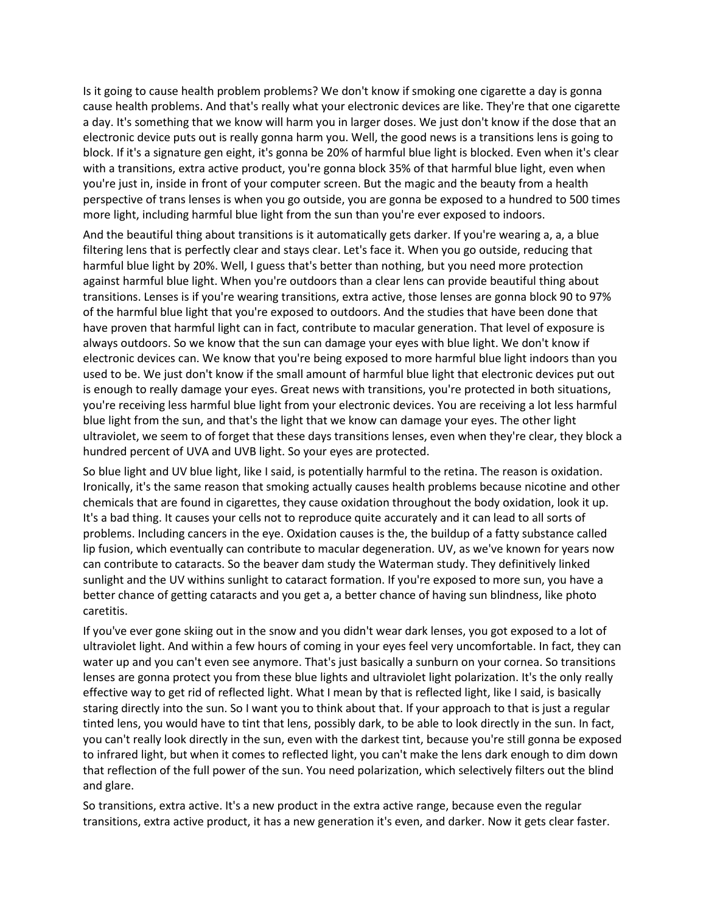Is it going to cause health problem problems? We don't know if smoking one cigarette a day is gonna cause health problems. And that's really what your electronic devices are like. They're that one cigarette a day. It's something that we know will harm you in larger doses. We just don't know if the dose that an electronic device puts out is really gonna harm you. Well, the good news is a transitions lens is going to block. If it's a signature gen eight, it's gonna be 20% of harmful blue light is blocked. Even when it's clear with a transitions, extra active product, you're gonna block 35% of that harmful blue light, even when you're just in, inside in front of your computer screen. But the magic and the beauty from a health perspective of trans lenses is when you go outside, you are gonna be exposed to a hundred to 500 times more light, including harmful blue light from the sun than you're ever exposed to indoors.

And the beautiful thing about transitions is it automatically gets darker. If you're wearing a, a, a blue filtering lens that is perfectly clear and stays clear. Let's face it. When you go outside, reducing that harmful blue light by 20%. Well, I guess that's better than nothing, but you need more protection against harmful blue light. When you're outdoors than a clear lens can provide beautiful thing about transitions. Lenses is if you're wearing transitions, extra active, those lenses are gonna block 90 to 97% of the harmful blue light that you're exposed to outdoors. And the studies that have been done that have proven that harmful light can in fact, contribute to macular generation. That level of exposure is always outdoors. So we know that the sun can damage your eyes with blue light. We don't know if electronic devices can. We know that you're being exposed to more harmful blue light indoors than you used to be. We just don't know if the small amount of harmful blue light that electronic devices put out is enough to really damage your eyes. Great news with transitions, you're protected in both situations, you're receiving less harmful blue light from your electronic devices. You are receiving a lot less harmful blue light from the sun, and that's the light that we know can damage your eyes. The other light ultraviolet, we seem to of forget that these days transitions lenses, even when they're clear, they block a hundred percent of UVA and UVB light. So your eyes are protected.

So blue light and UV blue light, like I said, is potentially harmful to the retina. The reason is oxidation. Ironically, it's the same reason that smoking actually causes health problems because nicotine and other chemicals that are found in cigarettes, they cause oxidation throughout the body oxidation, look it up. It's a bad thing. It causes your cells not to reproduce quite accurately and it can lead to all sorts of problems. Including cancers in the eye. Oxidation causes is the, the buildup of a fatty substance called lip fusion, which eventually can contribute to macular degeneration. UV, as we've known for years now can contribute to cataracts. So the beaver dam study the Waterman study. They definitively linked sunlight and the UV withins sunlight to cataract formation. If you're exposed to more sun, you have a better chance of getting cataracts and you get a, a better chance of having sun blindness, like photo caretitis.

If you've ever gone skiing out in the snow and you didn't wear dark lenses, you got exposed to a lot of ultraviolet light. And within a few hours of coming in your eyes feel very uncomfortable. In fact, they can water up and you can't even see anymore. That's just basically a sunburn on your cornea. So transitions lenses are gonna protect you from these blue lights and ultraviolet light polarization. It's the only really effective way to get rid of reflected light. What I mean by that is reflected light, like I said, is basically staring directly into the sun. So I want you to think about that. If your approach to that is just a regular tinted lens, you would have to tint that lens, possibly dark, to be able to look directly in the sun. In fact, you can't really look directly in the sun, even with the darkest tint, because you're still gonna be exposed to infrared light, but when it comes to reflected light, you can't make the lens dark enough to dim down that reflection of the full power of the sun. You need polarization, which selectively filters out the blind and glare.

So transitions, extra active. It's a new product in the extra active range, because even the regular transitions, extra active product, it has a new generation it's even, and darker. Now it gets clear faster.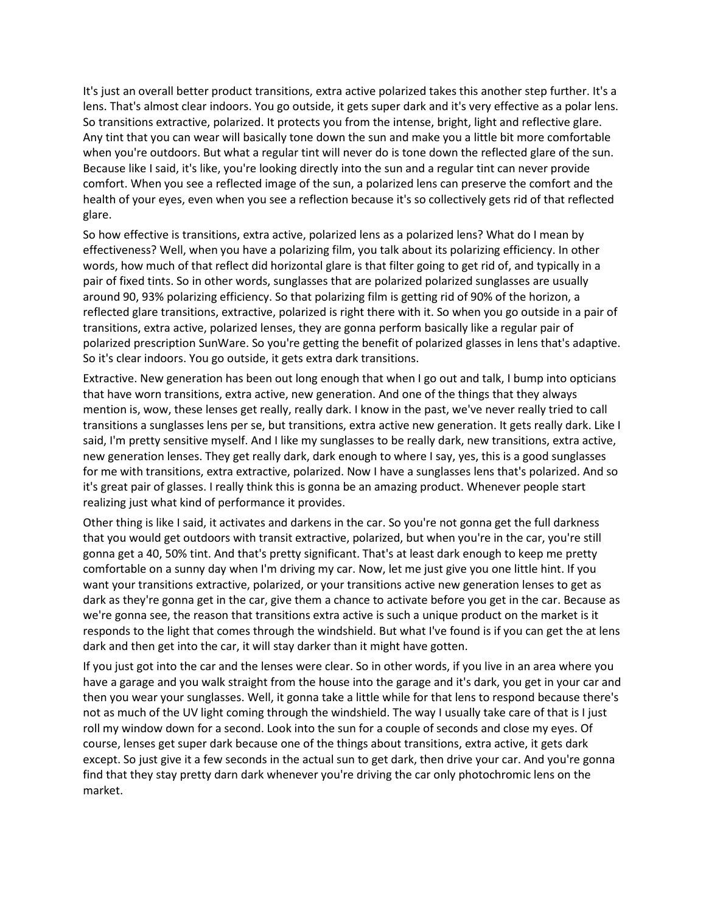It's just an overall better product transitions, extra active polarized takes this another step further. It's a lens. That's almost clear indoors. You go outside, it gets super dark and it's very effective as a polar lens. So transitions extractive, polarized. It protects you from the intense, bright, light and reflective glare. Any tint that you can wear will basically tone down the sun and make you a little bit more comfortable when you're outdoors. But what a regular tint will never do is tone down the reflected glare of the sun. Because like I said, it's like, you're looking directly into the sun and a regular tint can never provide comfort. When you see a reflected image of the sun, a polarized lens can preserve the comfort and the health of your eyes, even when you see a reflection because it's so collectively gets rid of that reflected glare.

So how effective is transitions, extra active, polarized lens as a polarized lens? What do I mean by effectiveness? Well, when you have a polarizing film, you talk about its polarizing efficiency. In other words, how much of that reflect did horizontal glare is that filter going to get rid of, and typically in a pair of fixed tints. So in other words, sunglasses that are polarized polarized sunglasses are usually around 90, 93% polarizing efficiency. So that polarizing film is getting rid of 90% of the horizon, a reflected glare transitions, extractive, polarized is right there with it. So when you go outside in a pair of transitions, extra active, polarized lenses, they are gonna perform basically like a regular pair of polarized prescription SunWare. So you're getting the benefit of polarized glasses in lens that's adaptive. So it's clear indoors. You go outside, it gets extra dark transitions.

Extractive. New generation has been out long enough that when I go out and talk, I bump into opticians that have worn transitions, extra active, new generation. And one of the things that they always mention is, wow, these lenses get really, really dark. I know in the past, we've never really tried to call transitions a sunglasses lens per se, but transitions, extra active new generation. It gets really dark. Like I said, I'm pretty sensitive myself. And I like my sunglasses to be really dark, new transitions, extra active, new generation lenses. They get really dark, dark enough to where I say, yes, this is a good sunglasses for me with transitions, extra extractive, polarized. Now I have a sunglasses lens that's polarized. And so it's great pair of glasses. I really think this is gonna be an amazing product. Whenever people start realizing just what kind of performance it provides.

Other thing is like I said, it activates and darkens in the car. So you're not gonna get the full darkness that you would get outdoors with transit extractive, polarized, but when you're in the car, you're still gonna get a 40, 50% tint. And that's pretty significant. That's at least dark enough to keep me pretty comfortable on a sunny day when I'm driving my car. Now, let me just give you one little hint. If you want your transitions extractive, polarized, or your transitions active new generation lenses to get as dark as they're gonna get in the car, give them a chance to activate before you get in the car. Because as we're gonna see, the reason that transitions extra active is such a unique product on the market is it responds to the light that comes through the windshield. But what I've found is if you can get the at lens dark and then get into the car, it will stay darker than it might have gotten.

If you just got into the car and the lenses were clear. So in other words, if you live in an area where you have a garage and you walk straight from the house into the garage and it's dark, you get in your car and then you wear your sunglasses. Well, it gonna take a little while for that lens to respond because there's not as much of the UV light coming through the windshield. The way I usually take care of that is I just roll my window down for a second. Look into the sun for a couple of seconds and close my eyes. Of course, lenses get super dark because one of the things about transitions, extra active, it gets dark except. So just give it a few seconds in the actual sun to get dark, then drive your car. And you're gonna find that they stay pretty darn dark whenever you're driving the car only photochromic lens on the market.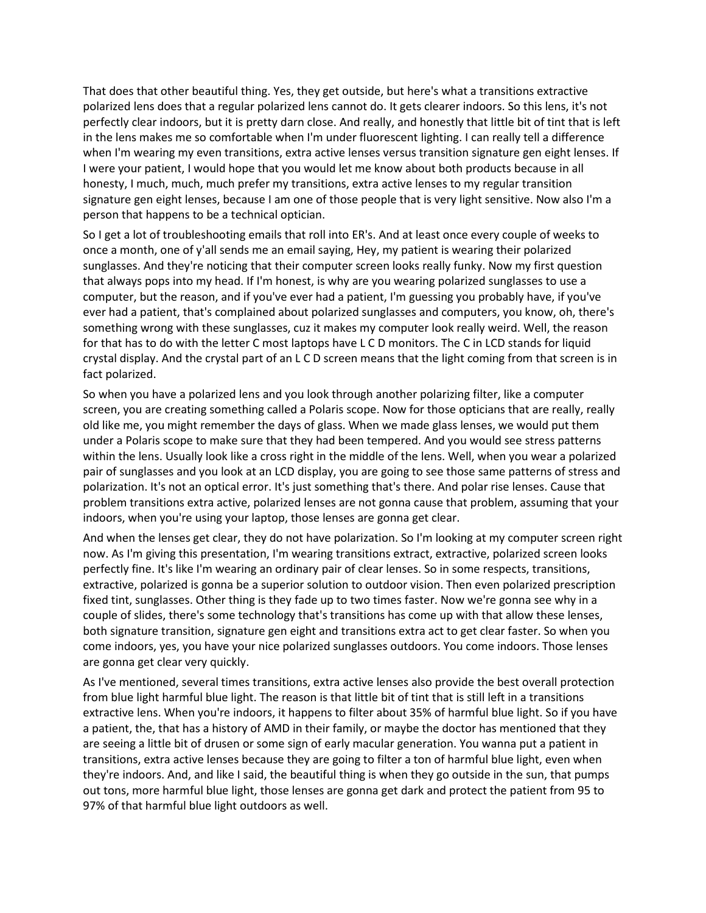That does that other beautiful thing. Yes, they get outside, but here's what a transitions extractive polarized lens does that a regular polarized lens cannot do. It gets clearer indoors. So this lens, it's not perfectly clear indoors, but it is pretty darn close. And really, and honestly that little bit of tint that is left in the lens makes me so comfortable when I'm under fluorescent lighting. I can really tell a difference when I'm wearing my even transitions, extra active lenses versus transition signature gen eight lenses. If I were your patient, I would hope that you would let me know about both products because in all honesty, I much, much, much prefer my transitions, extra active lenses to my regular transition signature gen eight lenses, because I am one of those people that is very light sensitive. Now also I'm a person that happens to be a technical optician.

So I get a lot of troubleshooting emails that roll into ER's. And at least once every couple of weeks to once a month, one of y'all sends me an email saying, Hey, my patient is wearing their polarized sunglasses. And they're noticing that their computer screen looks really funky. Now my first question that always pops into my head. If I'm honest, is why are you wearing polarized sunglasses to use a computer, but the reason, and if you've ever had a patient, I'm guessing you probably have, if you've ever had a patient, that's complained about polarized sunglasses and computers, you know, oh, there's something wrong with these sunglasses, cuz it makes my computer look really weird. Well, the reason for that has to do with the letter C most laptops have L C D monitors. The C in LCD stands for liquid crystal display. And the crystal part of an L C D screen means that the light coming from that screen is in fact polarized.

So when you have a polarized lens and you look through another polarizing filter, like a computer screen, you are creating something called a Polaris scope. Now for those opticians that are really, really old like me, you might remember the days of glass. When we made glass lenses, we would put them under a Polaris scope to make sure that they had been tempered. And you would see stress patterns within the lens. Usually look like a cross right in the middle of the lens. Well, when you wear a polarized pair of sunglasses and you look at an LCD display, you are going to see those same patterns of stress and polarization. It's not an optical error. It's just something that's there. And polar rise lenses. Cause that problem transitions extra active, polarized lenses are not gonna cause that problem, assuming that your indoors, when you're using your laptop, those lenses are gonna get clear.

And when the lenses get clear, they do not have polarization. So I'm looking at my computer screen right now. As I'm giving this presentation, I'm wearing transitions extract, extractive, polarized screen looks perfectly fine. It's like I'm wearing an ordinary pair of clear lenses. So in some respects, transitions, extractive, polarized is gonna be a superior solution to outdoor vision. Then even polarized prescription fixed tint, sunglasses. Other thing is they fade up to two times faster. Now we're gonna see why in a couple of slides, there's some technology that's transitions has come up with that allow these lenses, both signature transition, signature gen eight and transitions extra act to get clear faster. So when you come indoors, yes, you have your nice polarized sunglasses outdoors. You come indoors. Those lenses are gonna get clear very quickly.

As I've mentioned, several times transitions, extra active lenses also provide the best overall protection from blue light harmful blue light. The reason is that little bit of tint that is still left in a transitions extractive lens. When you're indoors, it happens to filter about 35% of harmful blue light. So if you have a patient, the, that has a history of AMD in their family, or maybe the doctor has mentioned that they are seeing a little bit of drusen or some sign of early macular generation. You wanna put a patient in transitions, extra active lenses because they are going to filter a ton of harmful blue light, even when they're indoors. And, and like I said, the beautiful thing is when they go outside in the sun, that pumps out tons, more harmful blue light, those lenses are gonna get dark and protect the patient from 95 to 97% of that harmful blue light outdoors as well.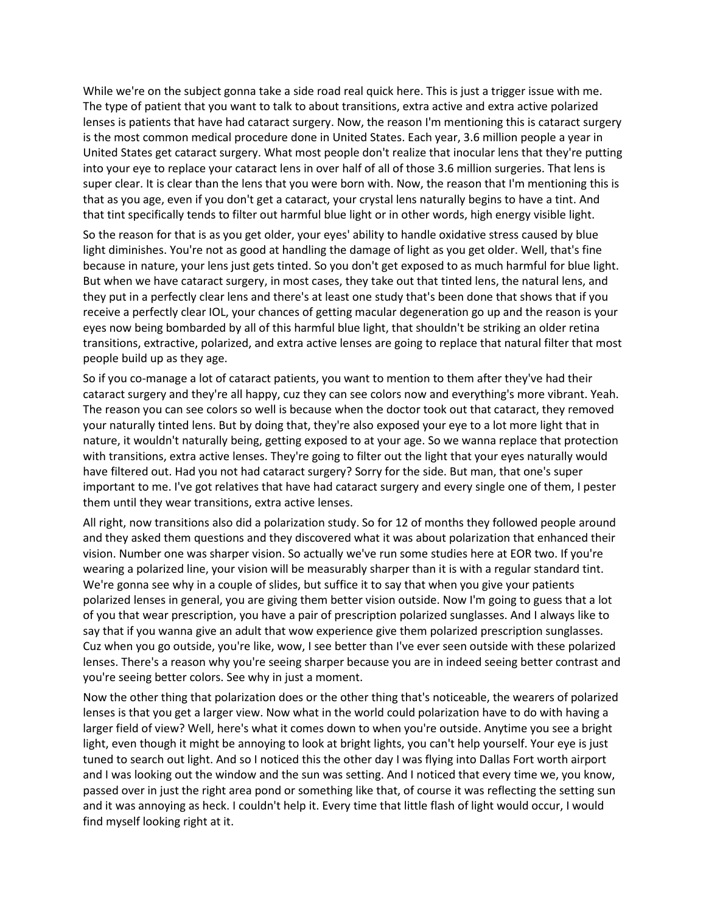While we're on the subject gonna take a side road real quick here. This is just a trigger issue with me. The type of patient that you want to talk to about transitions, extra active and extra active polarized lenses is patients that have had cataract surgery. Now, the reason I'm mentioning this is cataract surgery is the most common medical procedure done in United States. Each year, 3.6 million people a year in United States get cataract surgery. What most people don't realize that inocular lens that they're putting into your eye to replace your cataract lens in over half of all of those 3.6 million surgeries. That lens is super clear. It is clear than the lens that you were born with. Now, the reason that I'm mentioning this is that as you age, even if you don't get a cataract, your crystal lens naturally begins to have a tint. And that tint specifically tends to filter out harmful blue light or in other words, high energy visible light.

So the reason for that is as you get older, your eyes' ability to handle oxidative stress caused by blue light diminishes. You're not as good at handling the damage of light as you get older. Well, that's fine because in nature, your lens just gets tinted. So you don't get exposed to as much harmful for blue light. But when we have cataract surgery, in most cases, they take out that tinted lens, the natural lens, and they put in a perfectly clear lens and there's at least one study that's been done that shows that if you receive a perfectly clear IOL, your chances of getting macular degeneration go up and the reason is your eyes now being bombarded by all of this harmful blue light, that shouldn't be striking an older retina transitions, extractive, polarized, and extra active lenses are going to replace that natural filter that most people build up as they age.

So if you co-manage a lot of cataract patients, you want to mention to them after they've had their cataract surgery and they're all happy, cuz they can see colors now and everything's more vibrant. Yeah. The reason you can see colors so well is because when the doctor took out that cataract, they removed your naturally tinted lens. But by doing that, they're also exposed your eye to a lot more light that in nature, it wouldn't naturally being, getting exposed to at your age. So we wanna replace that protection with transitions, extra active lenses. They're going to filter out the light that your eyes naturally would have filtered out. Had you not had cataract surgery? Sorry for the side. But man, that one's super important to me. I've got relatives that have had cataract surgery and every single one of them, I pester them until they wear transitions, extra active lenses.

All right, now transitions also did a polarization study. So for 12 of months they followed people around and they asked them questions and they discovered what it was about polarization that enhanced their vision. Number one was sharper vision. So actually we've run some studies here at EOR two. If you're wearing a polarized line, your vision will be measurably sharper than it is with a regular standard tint. We're gonna see why in a couple of slides, but suffice it to say that when you give your patients polarized lenses in general, you are giving them better vision outside. Now I'm going to guess that a lot of you that wear prescription, you have a pair of prescription polarized sunglasses. And I always like to say that if you wanna give an adult that wow experience give them polarized prescription sunglasses. Cuz when you go outside, you're like, wow, I see better than I've ever seen outside with these polarized lenses. There's a reason why you're seeing sharper because you are in indeed seeing better contrast and you're seeing better colors. See why in just a moment.

Now the other thing that polarization does or the other thing that's noticeable, the wearers of polarized lenses is that you get a larger view. Now what in the world could polarization have to do with having a larger field of view? Well, here's what it comes down to when you're outside. Anytime you see a bright light, even though it might be annoying to look at bright lights, you can't help yourself. Your eye is just tuned to search out light. And so I noticed this the other day I was flying into Dallas Fort worth airport and I was looking out the window and the sun was setting. And I noticed that every time we, you know, passed over in just the right area pond or something like that, of course it was reflecting the setting sun and it was annoying as heck. I couldn't help it. Every time that little flash of light would occur, I would find myself looking right at it.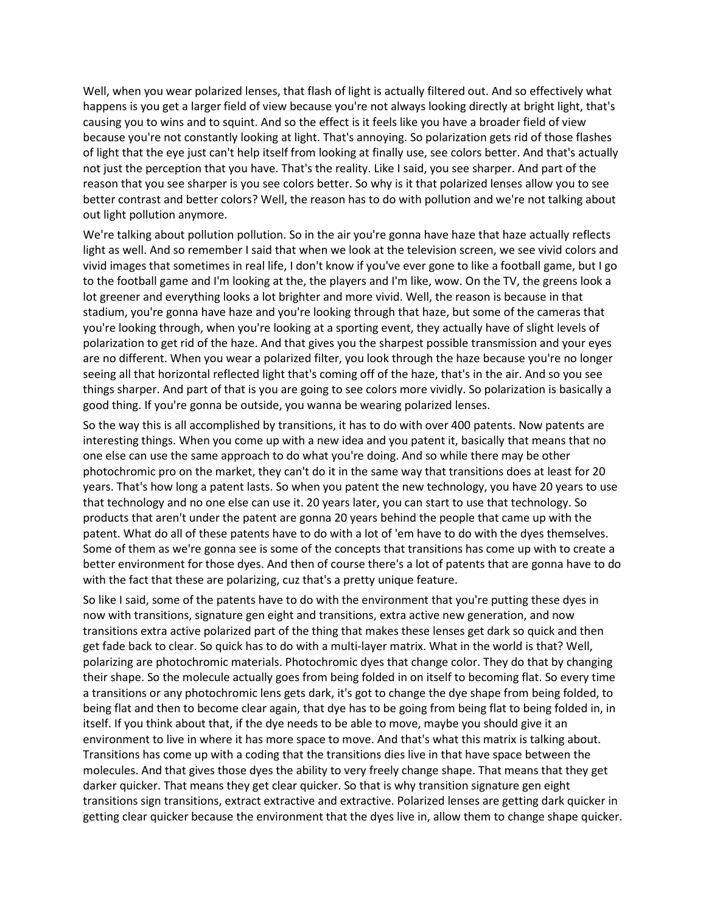Well, when you wear polarized lenses, that flash of light is actually filtered out. And so effectively what happens is you get a larger field of view because you're not always looking directly at bright light, that's causing you to wins and to squint. And so the effect is it feels like you have a broader field of view because you're not constantly looking at light. That's annoying. So polarization gets rid of those flashes of light that the eye just can't help itself from looking at finally use, see colors better. And that's actually not just the perception that you have. That's the reality. Like I said, you see sharper. And part of the reason that you see sharper is you see colors better. So why is it that polarized lenses allow you to see better contrast and better colors? Well, the reason has to do with pollution and we're not talking about out light pollution anymore.

We're talking about pollution pollution. So in the air you're gonna have haze that haze actually reflects light as well. And so remember I said that when we look at the television screen, we see vivid colors and vivid images that sometimes in real life, I don't know if you've ever gone to like a football game, but I go to the football game and I'm looking at the, the players and I'm like, wow. On the TV, the greens look a lot greener and everything looks a lot brighter and more vivid. Well, the reason is because in that stadium, you're gonna have haze and you're looking through that haze, but some of the cameras that you're looking through, when you're looking at a sporting event, they actually have of slight levels of polarization to get rid of the haze. And that gives you the sharpest possible transmission and your eyes are no different. When you wear a polarized filter, you look through the haze because you're no longer seeing all that horizontal reflected light that's coming off of the haze, that's in the air. And so you see things sharper. And part of that is you are going to see colors more vividly. So polarization is basically a good thing. If you're gonna be outside, you wanna be wearing polarized lenses.

So the way this is all accomplished by transitions, it has to do with over 400 patents. Now patents are interesting things. When you come up with a new idea and you patent it, basically that means that no one else can use the same approach to do what you're doing. And so while there may be other photochromic pro on the market, they can't do it in the same way that transitions does at least for 20 years. That's how long a patent lasts. So when you patent the new technology, you have 20 years to use that technology and no one else can use it. 20 years later, you can start to use that technology. So products that aren't under the patent are gonna 20 years behind the people that came up with the patent. What do all of these patents have to do with a lot of 'em have to do with the dyes themselves. Some of them as we're gonna see is some of the concepts that transitions has come up with to create a better environment for those dyes. And then of course there's a lot of patents that are gonna have to do with the fact that these are polarizing, cuz that's a pretty unique feature.

So like I said, some of the patents have to do with the environment that you're putting these dyes in now with transitions, signature gen eight and transitions, extra active new generation, and now transitions extra active polarized part of the thing that makes these lenses get dark so quick and then get fade back to clear. So quick has to do with a multi-layer matrix. What in the world is that? Well, polarizing are photochromic materials. Photochromic dyes that change color. They do that by changing their shape. So the molecule actually goes from being folded in on itself to becoming flat. So every time a transitions or any photochromic lens gets dark, it's got to change the dye shape from being folded, to being flat and then to become clear again, that dye has to be going from being flat to being folded in, in itself. If you think about that, if the dye needs to be able to move, maybe you should give it an environment to live in where it has more space to move. And that's what this matrix is talking about. Transitions has come up with a coding that the transitions dies live in that have space between the molecules. And that gives those dyes the ability to very freely change shape. That means that they get darker quicker. That means they get clear quicker. So that is why transition signature gen eight transitions sign transitions, extract extractive and extractive. Polarized lenses are getting dark quicker in getting clear quicker because the environment that the dyes live in, allow them to change shape quicker.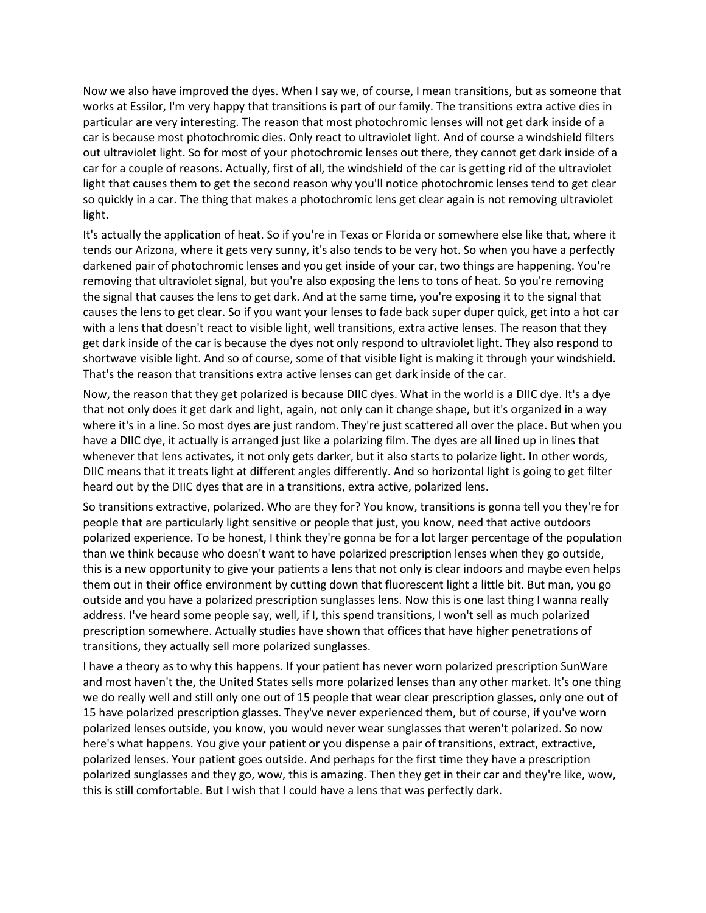Now we also have improved the dyes. When I say we, of course, I mean transitions, but as someone that works at Essilor, I'm very happy that transitions is part of our family. The transitions extra active dies in particular are very interesting. The reason that most photochromic lenses will not get dark inside of a car is because most photochromic dies. Only react to ultraviolet light. And of course a windshield filters out ultraviolet light. So for most of your photochromic lenses out there, they cannot get dark inside of a car for a couple of reasons. Actually, first of all, the windshield of the car is getting rid of the ultraviolet light that causes them to get the second reason why you'll notice photochromic lenses tend to get clear so quickly in a car. The thing that makes a photochromic lens get clear again is not removing ultraviolet light.

It's actually the application of heat. So if you're in Texas or Florida or somewhere else like that, where it tends our Arizona, where it gets very sunny, it's also tends to be very hot. So when you have a perfectly darkened pair of photochromic lenses and you get inside of your car, two things are happening. You're removing that ultraviolet signal, but you're also exposing the lens to tons of heat. So you're removing the signal that causes the lens to get dark. And at the same time, you're exposing it to the signal that causes the lens to get clear. So if you want your lenses to fade back super duper quick, get into a hot car with a lens that doesn't react to visible light, well transitions, extra active lenses. The reason that they get dark inside of the car is because the dyes not only respond to ultraviolet light. They also respond to shortwave visible light. And so of course, some of that visible light is making it through your windshield. That's the reason that transitions extra active lenses can get dark inside of the car.

Now, the reason that they get polarized is because DIIC dyes. What in the world is a DIIC dye. It's a dye that not only does it get dark and light, again, not only can it change shape, but it's organized in a way where it's in a line. So most dyes are just random. They're just scattered all over the place. But when you have a DIIC dye, it actually is arranged just like a polarizing film. The dyes are all lined up in lines that whenever that lens activates, it not only gets darker, but it also starts to polarize light. In other words, DIIC means that it treats light at different angles differently. And so horizontal light is going to get filter heard out by the DIIC dyes that are in a transitions, extra active, polarized lens.

So transitions extractive, polarized. Who are they for? You know, transitions is gonna tell you they're for people that are particularly light sensitive or people that just, you know, need that active outdoors polarized experience. To be honest, I think they're gonna be for a lot larger percentage of the population than we think because who doesn't want to have polarized prescription lenses when they go outside, this is a new opportunity to give your patients a lens that not only is clear indoors and maybe even helps them out in their office environment by cutting down that fluorescent light a little bit. But man, you go outside and you have a polarized prescription sunglasses lens. Now this is one last thing I wanna really address. I've heard some people say, well, if I, this spend transitions, I won't sell as much polarized prescription somewhere. Actually studies have shown that offices that have higher penetrations of transitions, they actually sell more polarized sunglasses.

I have a theory as to why this happens. If your patient has never worn polarized prescription SunWare and most haven't the, the United States sells more polarized lenses than any other market. It's one thing we do really well and still only one out of 15 people that wear clear prescription glasses, only one out of 15 have polarized prescription glasses. They've never experienced them, but of course, if you've worn polarized lenses outside, you know, you would never wear sunglasses that weren't polarized. So now here's what happens. You give your patient or you dispense a pair of transitions, extract, extractive, polarized lenses. Your patient goes outside. And perhaps for the first time they have a prescription polarized sunglasses and they go, wow, this is amazing. Then they get in their car and they're like, wow, this is still comfortable. But I wish that I could have a lens that was perfectly dark.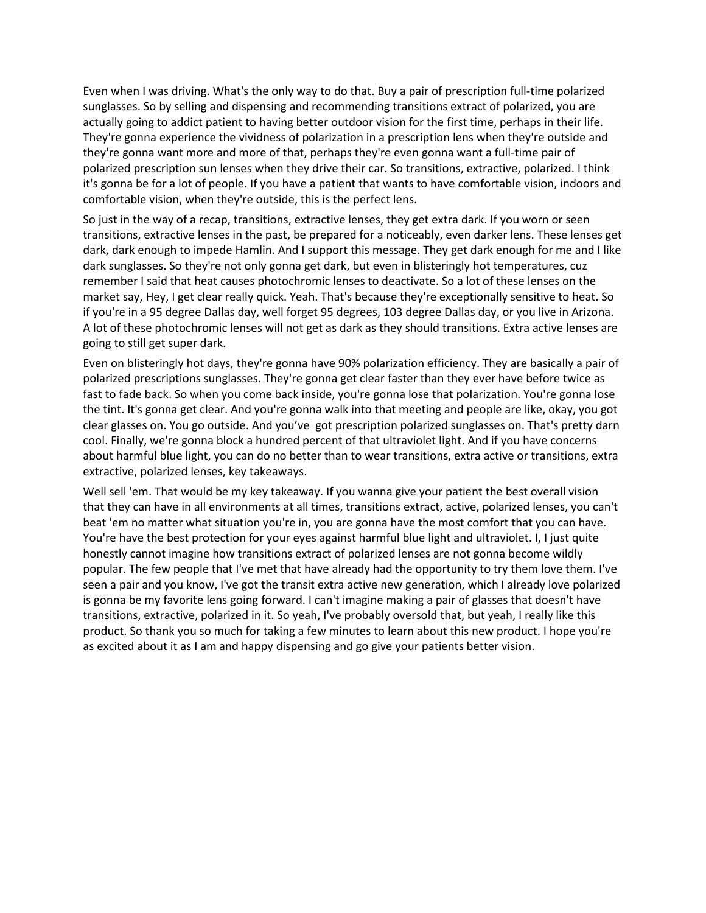Even when I was driving. What's the only way to do that. Buy a pair of prescription full-time polarized sunglasses. So by selling and dispensing and recommending transitions extract of polarized, you are actually going to addict patient to having better outdoor vision for the first time, perhaps in their life. They're gonna experience the vividness of polarization in a prescription lens when they're outside and they're gonna want more and more of that, perhaps they're even gonna want a full-time pair of polarized prescription sun lenses when they drive their car. So transitions, extractive, polarized. I think it's gonna be for a lot of people. If you have a patient that wants to have comfortable vision, indoors and comfortable vision, when they're outside, this is the perfect lens.

So just in the way of a recap, transitions, extractive lenses, they get extra dark. If you worn or seen transitions, extractive lenses in the past, be prepared for a noticeably, even darker lens. These lenses get dark, dark enough to impede Hamlin. And I support this message. They get dark enough for me and I like dark sunglasses. So they're not only gonna get dark, but even in blisteringly hot temperatures, cuz remember I said that heat causes photochromic lenses to deactivate. So a lot of these lenses on the market say, Hey, I get clear really quick. Yeah. That's because they're exceptionally sensitive to heat. So if you're in a 95 degree Dallas day, well forget 95 degrees, 103 degree Dallas day, or you live in Arizona. A lot of these photochromic lenses will not get as dark as they should transitions. Extra active lenses are going to still get super dark.

Even on blisteringly hot days, they're gonna have 90% polarization efficiency. They are basically a pair of polarized prescriptions sunglasses. They're gonna get clear faster than they ever have before twice as fast to fade back. So when you come back inside, you're gonna lose that polarization. You're gonna lose the tint. It's gonna get clear. And you're gonna walk into that meeting and people are like, okay, you got clear glasses on. You go outside. And you've got prescription polarized sunglasses on. That's pretty darn cool. Finally, we're gonna block a hundred percent of that ultraviolet light. And if you have concerns about harmful blue light, you can do no better than to wear transitions, extra active or transitions, extra extractive, polarized lenses, key takeaways.

Well sell 'em. That would be my key takeaway. If you wanna give your patient the best overall vision that they can have in all environments at all times, transitions extract, active, polarized lenses, you can't beat 'em no matter what situation you're in, you are gonna have the most comfort that you can have. You're have the best protection for your eyes against harmful blue light and ultraviolet. I, I just quite honestly cannot imagine how transitions extract of polarized lenses are not gonna become wildly popular. The few people that I've met that have already had the opportunity to try them love them. I've seen a pair and you know, I've got the transit extra active new generation, which I already love polarized is gonna be my favorite lens going forward. I can't imagine making a pair of glasses that doesn't have transitions, extractive, polarized in it. So yeah, I've probably oversold that, but yeah, I really like this product. So thank you so much for taking a few minutes to learn about this new product. I hope you're as excited about it as I am and happy dispensing and go give your patients better vision.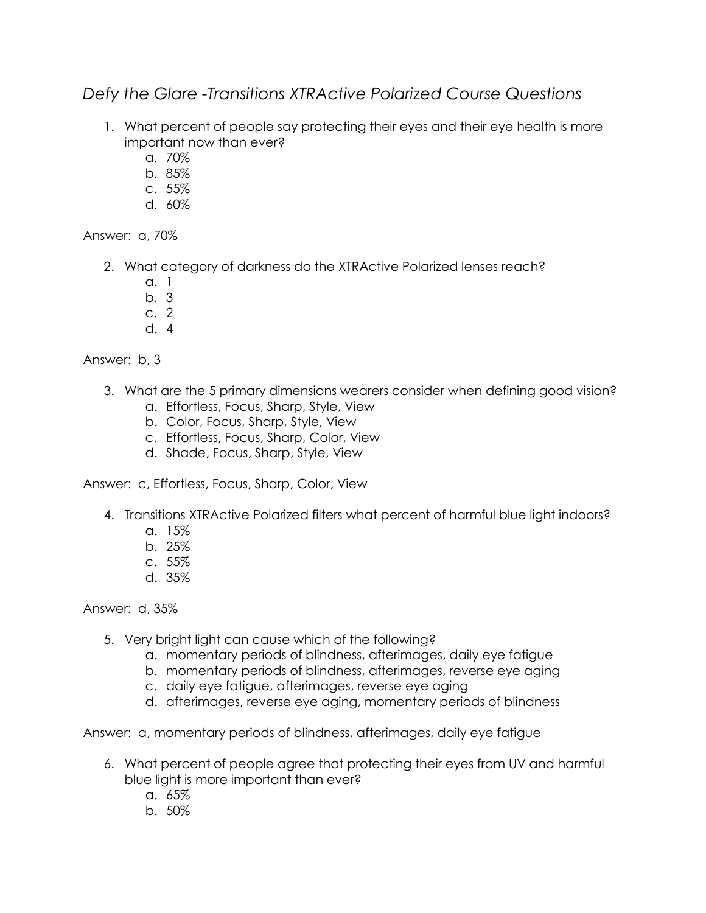## *Defy the Glare -Transitions XTRActive Polarized Course Questions*

- 1. What percent of people say protecting their eyes and their eye health is more important now than ever?
	- a. 70%
	- b. 85%
	- c. 55%
	- d. 60%

Answer: a, 70%

- 2. What category of darkness do the XTRActive Polarized lenses reach?
	- a. 1
	- b. 3
	- c. 2
	- d. 4

Answer: b, 3

- 3. What are the 5 primary dimensions wearers consider when defining good vision?
	- a. Effortless, Focus, Sharp, Style, View
	- b. Color, Focus, Sharp, Style, View
	- c. Effortless, Focus, Sharp, Color, View
	- d. Shade, Focus, Sharp, Style, View

Answer: c, Effortless, Focus, Sharp, Color, View

- 4. Transitions XTRActive Polarized filters what percent of harmful blue light indoors?
	- a. 15%
	- b. 25%
	- c. 55%
	- d. 35%

Answer: d, 35%

- 5. Very bright light can cause which of the following?
	- a. momentary periods of blindness, afterimages, daily eye fatigue
	- b. momentary periods of blindness, afterimages, reverse eye aging
	- c. daily eye fatigue, afterimages, reverse eye aging
	- d. afterimages, reverse eye aging, momentary periods of blindness

Answer: a, momentary periods of blindness, afterimages, daily eye fatigue

- 6. What percent of people agree that protecting their eyes from UV and harmful blue light is more important than ever?
	- a. 65%
	- b. 50%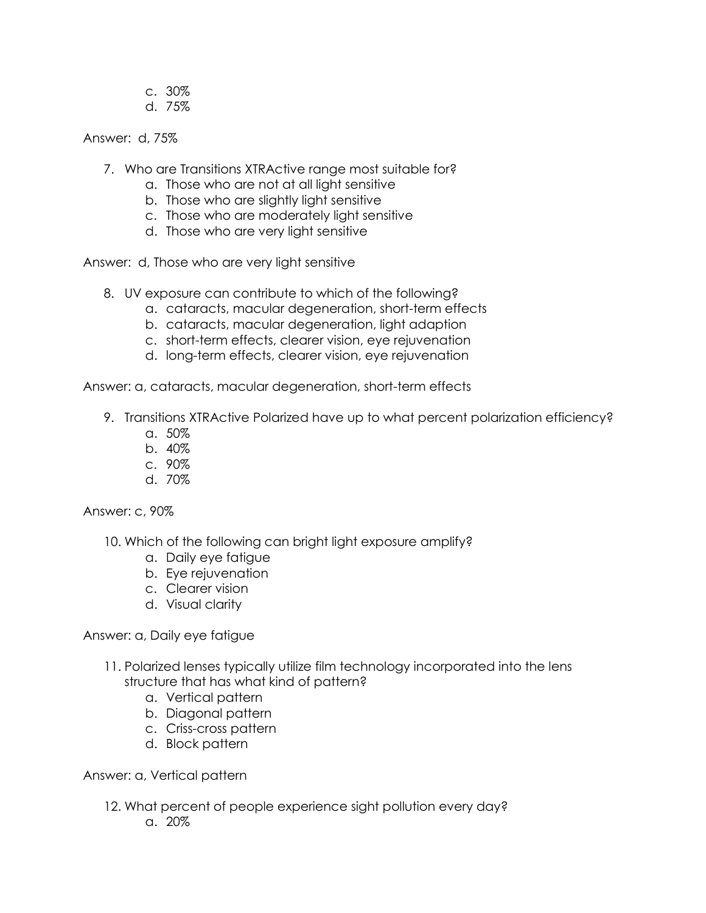- c. 30%
- d. 75%

Answer: d, 75%

- 7. Who are Transitions XTRActive range most suitable for?
	- a. Those who are not at all light sensitive
	- b. Those who are slightly light sensitive
	- c. Those who are moderately light sensitive
	- d. Those who are very light sensitive

Answer: d, Those who are very light sensitive

- 8. UV exposure can contribute to which of the following?
	- a. cataracts, macular degeneration, short-term effects
	- b. cataracts, macular degeneration, light adaption
	- c. short-term effects, clearer vision, eye rejuvenation
	- d. long-term effects, clearer vision, eye rejuvenation

Answer: a, cataracts, macular degeneration, short-term effects

- 9. Transitions XTRActive Polarized have up to what percent polarization efficiency?
	- a. 50%
	- b. 40%
	- c. 90%
	- d. 70%

Answer: c, 90%

- 10. Which of the following can bright light exposure amplify?
	- a. Daily eye fatigue
	- b. Eye rejuvenation
	- c. Clearer vision
	- d. Visual clarity

Answer: a, Daily eye fatigue

- 11. Polarized lenses typically utilize film technology incorporated into the lens structure that has what kind of pattern?
	- a. Vertical pattern
	- b. Diagonal pattern
	- c. Criss-cross pattern
	- d. Block pattern

Answer: a, Vertical pattern

- 12. What percent of people experience sight pollution every day?
	- a.  $20\%$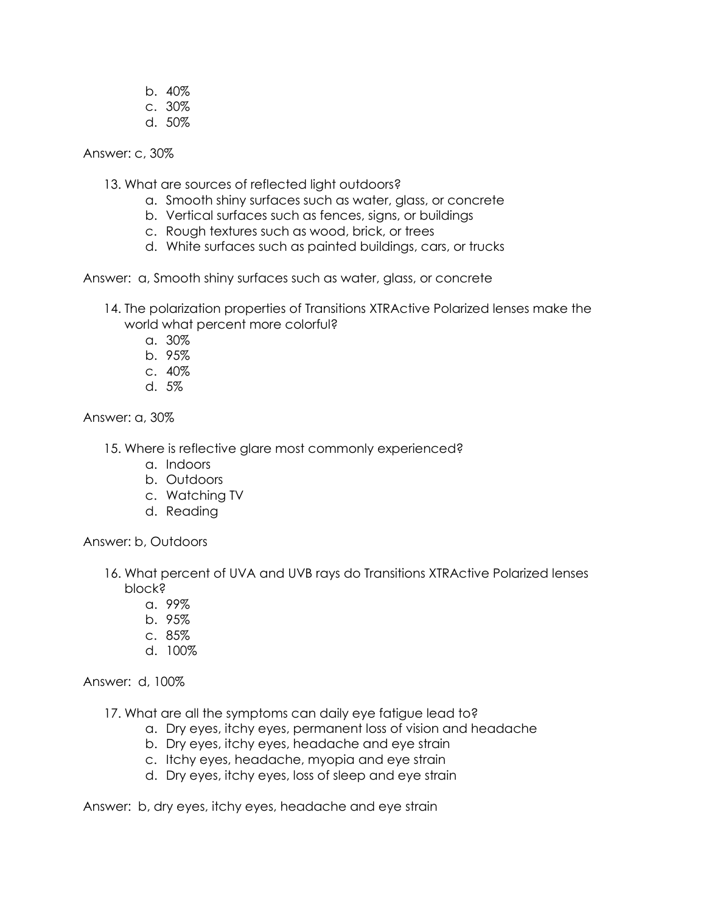- b. 40%
- c. 30%
- d. 50%

Answer: c, 30%

- 13. What are sources of reflected light outdoors?
	- a. Smooth shiny surfaces such as water, glass, or concrete
	- b. Vertical surfaces such as fences, signs, or buildings
	- c. Rough textures such as wood, brick, or trees
	- d. White surfaces such as painted buildings, cars, or trucks

Answer: a, Smooth shiny surfaces such as water, glass, or concrete

- 14. The polarization properties of Transitions XTRActive Polarized lenses make the world what percent more colorful?
	- a. 30%
	- b. 95%
	- c. 40%
	- d. 5%

Answer: a, 30%

- 15. Where is reflective glare most commonly experienced?
	- a. Indoors
	- b. Outdoors
	- c. Watching TV
	- d. Reading

Answer: b, Outdoors

- 16. What percent of UVA and UVB rays do Transitions XTRActive Polarized lenses block?
	- a. 99%
	- b. 95%
	- c. 85%
	- d. 100%

Answer: d, 100%

17. What are all the symptoms can daily eye fatigue lead to?

- a. Dry eyes, itchy eyes, permanent loss of vision and headache
- b. Dry eyes, itchy eyes, headache and eye strain
- c. Itchy eyes, headache, myopia and eye strain
- d. Dry eyes, itchy eyes, loss of sleep and eye strain

Answer: b, dry eyes, itchy eyes, headache and eye strain